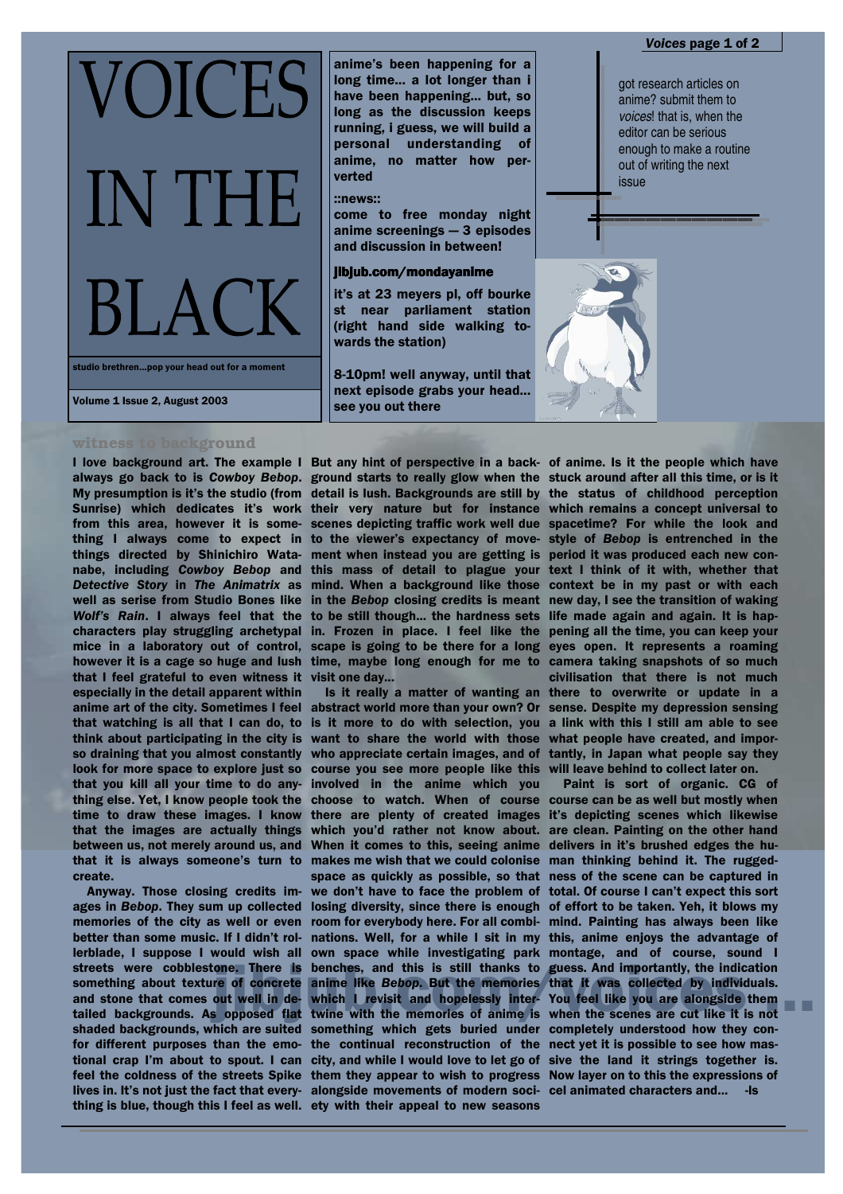**/OICES** IN TH  $BLAC$ 

studio brethren...pop your head out for a moment

## Volume 1 Issue 2, August 2003

#### witness to background

always go back to is Cowboy Bebop. ground starts to really glow when the stuck around after all this time, or is it My presumption is it's the studio (from detail is lush. Backgrounds are still by the status of childhood perception Sunrise) which dedicates it's work their very nature but for instance which remains a concept universal to from this area, however it is some- scenes depicting traffic work well due spacetime? For while the look and thing I always come to expect in to the viewer's expectancy of movethings directed by Shinichiro Wata- ment when instead you are getting is nabe, including Cowboy Bebop and this mass of detail to plague your Detective Story in The Animatrix as mind. When a background like those well as serise from Studio Bones like in the Bebop closing credits is meant Wolf's Rain. I always feel that the to be still though... the hardness sets characters play struggling archetypal in. Frozen in place. I feel like the mice in a laboratory out of control, scape is going to be there for a long however it is a cage so huge and lush time, maybe long enough for me to camera taking snapshots of so much that I feel grateful to even witness it visit one day... especially in the detail apparent within anime art of the city. Sometimes I feel abstract world more than your own? Or that watching is all that I can do, to is it more to do with selection, you think about participating in the city is want to share the world with those so draining that you almost constantly look for more space to explore just so course you see more people like this will leave behind to collect later on. that you kill all your time to do anything else. Yet, I know people took the time to draw these images. I know that the images are actually things between us, not merely around us, and When it comes to this, seeing anime that it is always someone's turn to create.

Anyway. Those closing credits images in Bebop. They sum up collected memories of the city as well or even better than some music. If I didn't rollerblade, I suppose I would wish all own space while investigating park montage, and of course, sound I streets were cobblestone. There is benches, and this is still thanks to guess. And importantly, the indication something about texture of concrete and stone that comes out well in de- which I revisit and hopelessly inter-You feel like you are alongside them tailed backgrounds. As opposed flat twine with the memories of anime is when the scenes are cut like it is not shaded backgrounds, which are suited something which gets buried under completely understood how they confor different purposes than the emo- the continual reconstruction of the nect yet it is possible to see how mastional crap I'm about to spout. I can city, and while I would love to let go of sive the land it strings together is. feel the coldness of the streets Spike them they appear to wish to progress Now layer on to this the expressions of lives in. It's not just the fact that every- alongside movements of modern soci- cel animated characters and... -Is

I love background art. The example I But any hint of perspective in a back- of anime. Is it the people which have

anime's been happening for a long time... a lot longer than i

have been happening... but, so

long as the discussion keeps

running, i guess, we will build a

personal understanding of

anime, no matter how per-

come to free monday night  $anime$  screenings  $-3$  episodes and discussion in between! jibjub.com/mondayanime

verted

::news::

wards the station)

see vou out there

Is it really a matter of wanting an who appreciate certain images, and of involved in the anime which you there are plenty of created images which you'd rather not know about. makes me wish that we could colonise space as quickly as possible, so that we don't have to face the problem of losing diversity, since there is enough room for everybody here. For all combithing is blue, though this I feel as well. ety with their appeal to new seasons

got research articles on anime? submit them to voices! that is, when the editor can be serious enough to make a routine out of writing the next issue



style of Bebop is entrenched in the period it was produced each new context I think of it with, whether that context be in my past or with each new day, I see the transition of waking life made again and again. It is happening all the time, you can keep your eyes open. It represents a roaming civilisation that there is not much there to overwrite or update in a sense. Despite my depression sensing a link with this I still am able to see what people have created, and importantly, in Japan what people say they

Paint is sort of organic. CG of choose to watch. When of course course can be as well but mostly when it's depicting scenes which likewise are clean. Painting on the other hand delivers in it's brushed edges the human thinking behind it. The ruggedness of the scene can be captured in total. Of course I can't expect this sort of effort to be taken. Yeh, it blows my mind. Painting has always been like nations. Well, for a while I sit in my this, anime enjoys the advantage of anime like Bebop. But the memories that it was collected by individuals.